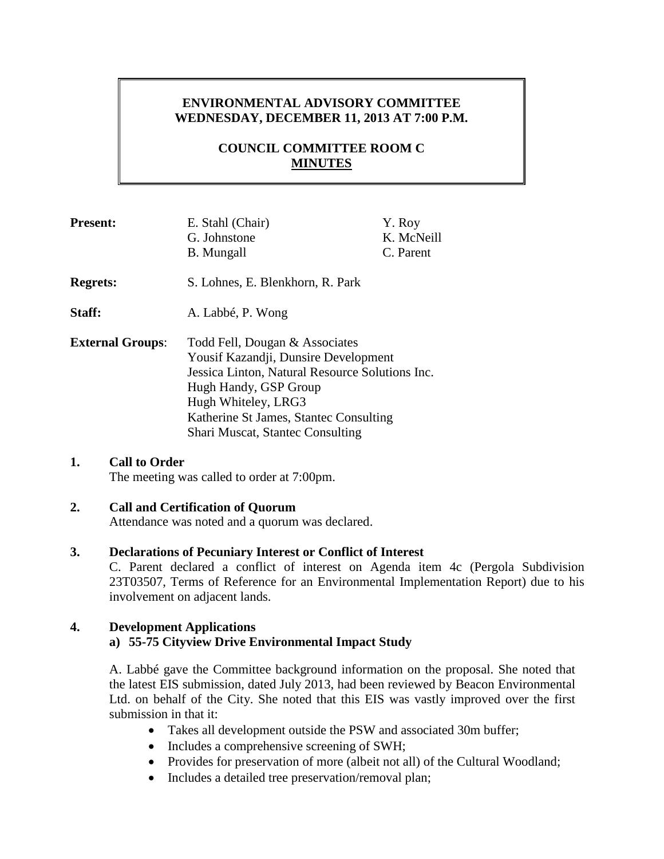# **ENVIRONMENTAL ADVISORY COMMITTEE WEDNESDAY, DECEMBER 11, 2013 AT 7:00 P.M.**

# **COUNCIL COMMITTEE ROOM C MINUTES**

| <b>Present:</b>         | E. Stahl (Chair)<br>G. Johnstone<br><b>B.</b> Mungall                                                                                                                                                                                                          | Y. Roy<br>K. McNeill<br>C. Parent |
|-------------------------|----------------------------------------------------------------------------------------------------------------------------------------------------------------------------------------------------------------------------------------------------------------|-----------------------------------|
| <b>Regrets:</b>         | S. Lohnes, E. Blenkhorn, R. Park                                                                                                                                                                                                                               |                                   |
| Staff:                  | A. Labbé, P. Wong                                                                                                                                                                                                                                              |                                   |
| <b>External Groups:</b> | Todd Fell, Dougan & Associates<br>Yousif Kazandji, Dunsire Development<br>Jessica Linton, Natural Resource Solutions Inc.<br>Hugh Handy, GSP Group<br>Hugh Whiteley, LRG3<br>Katherine St James, Stantec Consulting<br><b>Shari Muscat, Stantec Consulting</b> |                                   |

# **1. Call to Order**

The meeting was called to order at 7:00pm.

### **2. Call and Certification of Quorum**

Attendance was noted and a quorum was declared.

#### **3. Declarations of Pecuniary Interest or Conflict of Interest**

C. Parent declared a conflict of interest on Agenda item 4c (Pergola Subdivision 23T03507, Terms of Reference for an Environmental Implementation Report) due to his involvement on adjacent lands.

#### **4. Development Applications**

#### **a) 55-75 Cityview Drive Environmental Impact Study**

A. Labbé gave the Committee background information on the proposal. She noted that the latest EIS submission, dated July 2013, had been reviewed by Beacon Environmental Ltd. on behalf of the City. She noted that this EIS was vastly improved over the first submission in that it:

- Takes all development outside the PSW and associated 30m buffer;
- Includes a comprehensive screening of SWH;
- Provides for preservation of more (albeit not all) of the Cultural Woodland;
- Includes a detailed tree preservation/removal plan;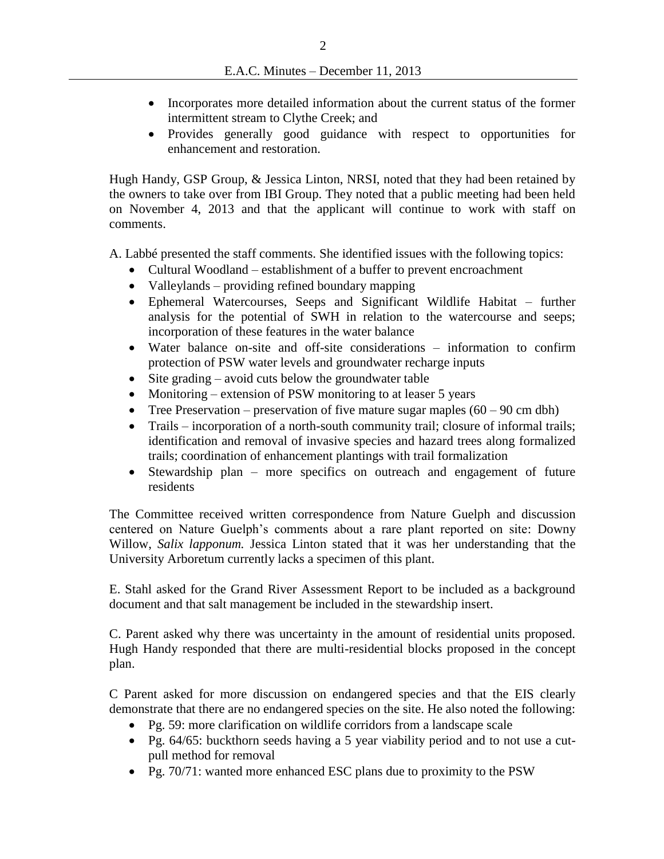- Incorporates more detailed information about the current status of the former intermittent stream to Clythe Creek; and
- Provides generally good guidance with respect to opportunities for enhancement and restoration.

Hugh Handy, GSP Group, & Jessica Linton, NRSI, noted that they had been retained by the owners to take over from IBI Group. They noted that a public meeting had been held on November 4, 2013 and that the applicant will continue to work with staff on comments.

A. Labbé presented the staff comments. She identified issues with the following topics:

- Cultural Woodland establishment of a buffer to prevent encroachment
- Valleylands providing refined boundary mapping
- Ephemeral Watercourses, Seeps and Significant Wildlife Habitat further analysis for the potential of SWH in relation to the watercourse and seeps; incorporation of these features in the water balance
- Water balance on-site and off-site considerations information to confirm protection of PSW water levels and groundwater recharge inputs
- Site grading avoid cuts below the groundwater table
- Monitoring extension of PSW monitoring to at leaser 5 years
- Tree Preservation preservation of five mature sugar maples  $(60 90 \text{ cm dbh})$
- Trails incorporation of a north-south community trail; closure of informal trails; identification and removal of invasive species and hazard trees along formalized trails; coordination of enhancement plantings with trail formalization
- Stewardship plan more specifics on outreach and engagement of future residents

The Committee received written correspondence from Nature Guelph and discussion centered on Nature Guelph's comments about a rare plant reported on site: Downy Willow, *Salix lapponum.* Jessica Linton stated that it was her understanding that the University Arboretum currently lacks a specimen of this plant.

E. Stahl asked for the Grand River Assessment Report to be included as a background document and that salt management be included in the stewardship insert.

C. Parent asked why there was uncertainty in the amount of residential units proposed. Hugh Handy responded that there are multi-residential blocks proposed in the concept plan.

C Parent asked for more discussion on endangered species and that the EIS clearly demonstrate that there are no endangered species on the site. He also noted the following:

- Pg. 59: more clarification on wildlife corridors from a landscape scale
- Pg. 64/65: buckthorn seeds having a 5 year viability period and to not use a cutpull method for removal
- Pg. 70/71: wanted more enhanced ESC plans due to proximity to the PSW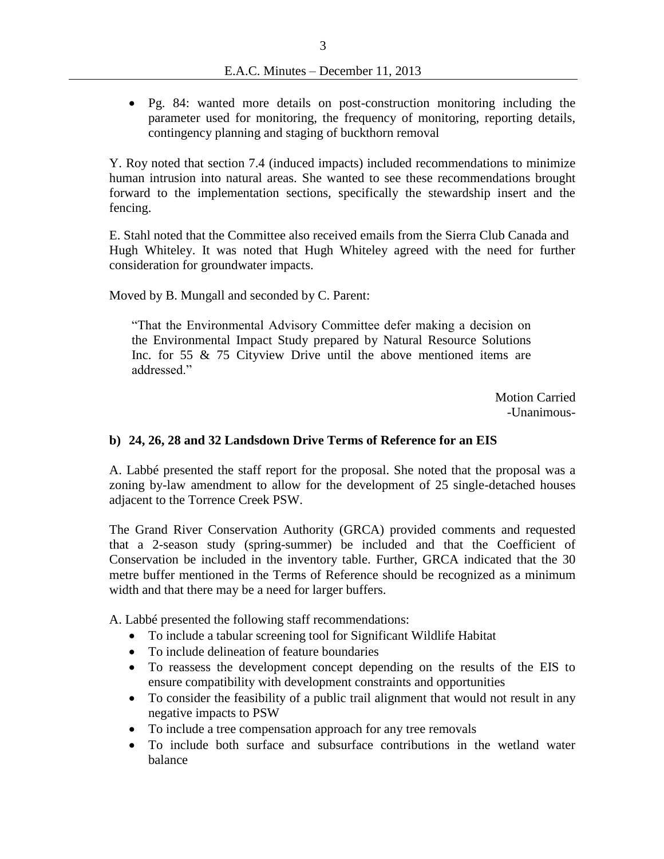Pg. 84: wanted more details on post-construction monitoring including the parameter used for monitoring, the frequency of monitoring, reporting details, contingency planning and staging of buckthorn removal

Y. Roy noted that section 7.4 (induced impacts) included recommendations to minimize human intrusion into natural areas. She wanted to see these recommendations brought forward to the implementation sections, specifically the stewardship insert and the fencing.

E. Stahl noted that the Committee also received emails from the Sierra Club Canada and Hugh Whiteley. It was noted that Hugh Whiteley agreed with the need for further consideration for groundwater impacts.

Moved by B. Mungall and seconded by C. Parent:

"That the Environmental Advisory Committee defer making a decision on the Environmental Impact Study prepared by Natural Resource Solutions Inc. for 55 & 75 Cityview Drive until the above mentioned items are addressed<sup>"</sup>

> Motion Carried -Unanimous-

#### **b) 24, 26, 28 and 32 Landsdown Drive Terms of Reference for an EIS**

A. Labbé presented the staff report for the proposal. She noted that the proposal was a zoning by-law amendment to allow for the development of 25 single-detached houses adjacent to the Torrence Creek PSW.

The Grand River Conservation Authority (GRCA) provided comments and requested that a 2-season study (spring-summer) be included and that the Coefficient of Conservation be included in the inventory table. Further, GRCA indicated that the 30 metre buffer mentioned in the Terms of Reference should be recognized as a minimum width and that there may be a need for larger buffers.

A. Labbé presented the following staff recommendations:

- To include a tabular screening tool for Significant Wildlife Habitat
- To include delineation of feature boundaries
- To reassess the development concept depending on the results of the EIS to ensure compatibility with development constraints and opportunities
- To consider the feasibility of a public trail alignment that would not result in any negative impacts to PSW
- To include a tree compensation approach for any tree removals
- To include both surface and subsurface contributions in the wetland water balance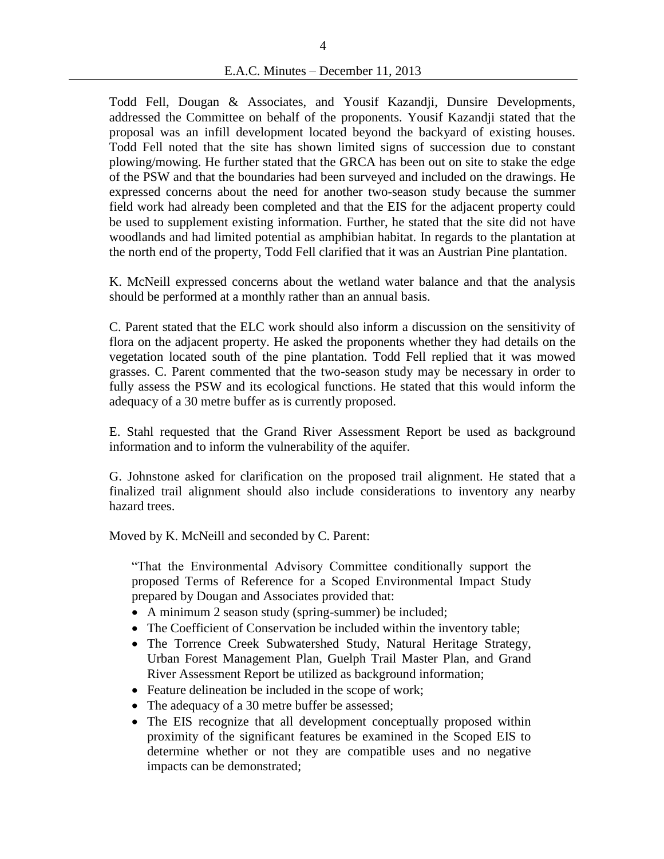Todd Fell, Dougan & Associates, and Yousif Kazandji, Dunsire Developments, addressed the Committee on behalf of the proponents. Yousif Kazandji stated that the proposal was an infill development located beyond the backyard of existing houses. Todd Fell noted that the site has shown limited signs of succession due to constant plowing/mowing. He further stated that the GRCA has been out on site to stake the edge of the PSW and that the boundaries had been surveyed and included on the drawings. He expressed concerns about the need for another two-season study because the summer field work had already been completed and that the EIS for the adjacent property could be used to supplement existing information. Further, he stated that the site did not have woodlands and had limited potential as amphibian habitat. In regards to the plantation at the north end of the property, Todd Fell clarified that it was an Austrian Pine plantation.

K. McNeill expressed concerns about the wetland water balance and that the analysis should be performed at a monthly rather than an annual basis.

C. Parent stated that the ELC work should also inform a discussion on the sensitivity of flora on the adjacent property. He asked the proponents whether they had details on the vegetation located south of the pine plantation. Todd Fell replied that it was mowed grasses. C. Parent commented that the two-season study may be necessary in order to fully assess the PSW and its ecological functions. He stated that this would inform the adequacy of a 30 metre buffer as is currently proposed.

E. Stahl requested that the Grand River Assessment Report be used as background information and to inform the vulnerability of the aquifer.

G. Johnstone asked for clarification on the proposed trail alignment. He stated that a finalized trail alignment should also include considerations to inventory any nearby hazard trees.

Moved by K. McNeill and seconded by C. Parent:

"That the Environmental Advisory Committee conditionally support the proposed Terms of Reference for a Scoped Environmental Impact Study prepared by Dougan and Associates provided that:

- A minimum 2 season study (spring-summer) be included;
- The Coefficient of Conservation be included within the inventory table;
- The Torrence Creek Subwatershed Study, Natural Heritage Strategy, Urban Forest Management Plan, Guelph Trail Master Plan, and Grand River Assessment Report be utilized as background information;
- Feature delineation be included in the scope of work;
- The adequacy of a 30 metre buffer be assessed;
- The EIS recognize that all development conceptually proposed within proximity of the significant features be examined in the Scoped EIS to determine whether or not they are compatible uses and no negative impacts can be demonstrated;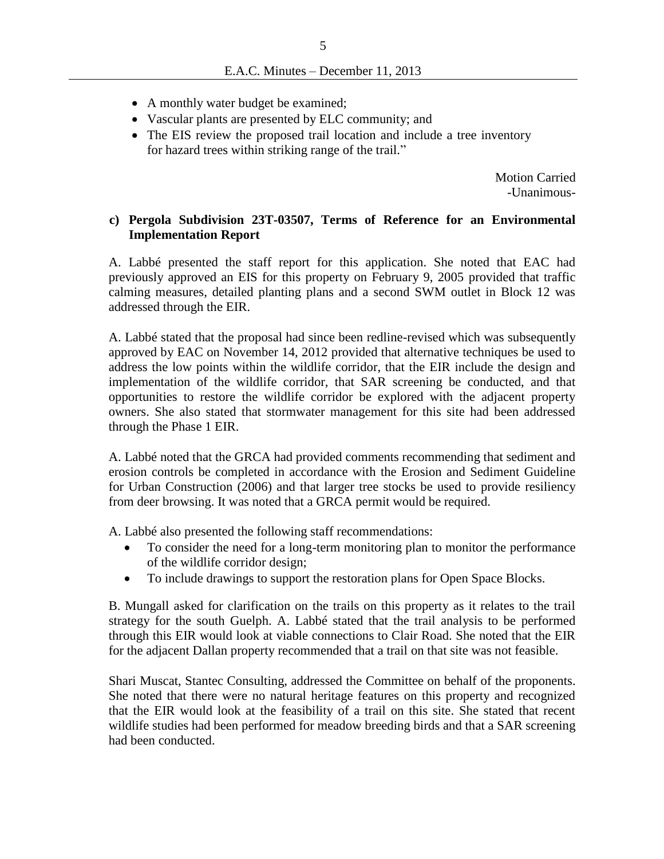- A monthly water budget be examined;
- Vascular plants are presented by ELC community; and
- The EIS review the proposed trail location and include a tree inventory for hazard trees within striking range of the trail."

Motion Carried -Unanimous-

### **c) Pergola Subdivision 23T-03507, Terms of Reference for an Environmental Implementation Report**

A. Labbé presented the staff report for this application. She noted that EAC had previously approved an EIS for this property on February 9, 2005 provided that traffic calming measures, detailed planting plans and a second SWM outlet in Block 12 was addressed through the EIR.

A. Labbé stated that the proposal had since been redline-revised which was subsequently approved by EAC on November 14, 2012 provided that alternative techniques be used to address the low points within the wildlife corridor, that the EIR include the design and implementation of the wildlife corridor, that SAR screening be conducted, and that opportunities to restore the wildlife corridor be explored with the adjacent property owners. She also stated that stormwater management for this site had been addressed through the Phase 1 EIR.

A. Labbé noted that the GRCA had provided comments recommending that sediment and erosion controls be completed in accordance with the Erosion and Sediment Guideline for Urban Construction (2006) and that larger tree stocks be used to provide resiliency from deer browsing. It was noted that a GRCA permit would be required.

A. Labbé also presented the following staff recommendations:

- To consider the need for a long-term monitoring plan to monitor the performance of the wildlife corridor design;
- To include drawings to support the restoration plans for Open Space Blocks.

B. Mungall asked for clarification on the trails on this property as it relates to the trail strategy for the south Guelph. A. Labbé stated that the trail analysis to be performed through this EIR would look at viable connections to Clair Road. She noted that the EIR for the adjacent Dallan property recommended that a trail on that site was not feasible.

Shari Muscat, Stantec Consulting, addressed the Committee on behalf of the proponents. She noted that there were no natural heritage features on this property and recognized that the EIR would look at the feasibility of a trail on this site. She stated that recent wildlife studies had been performed for meadow breeding birds and that a SAR screening had been conducted.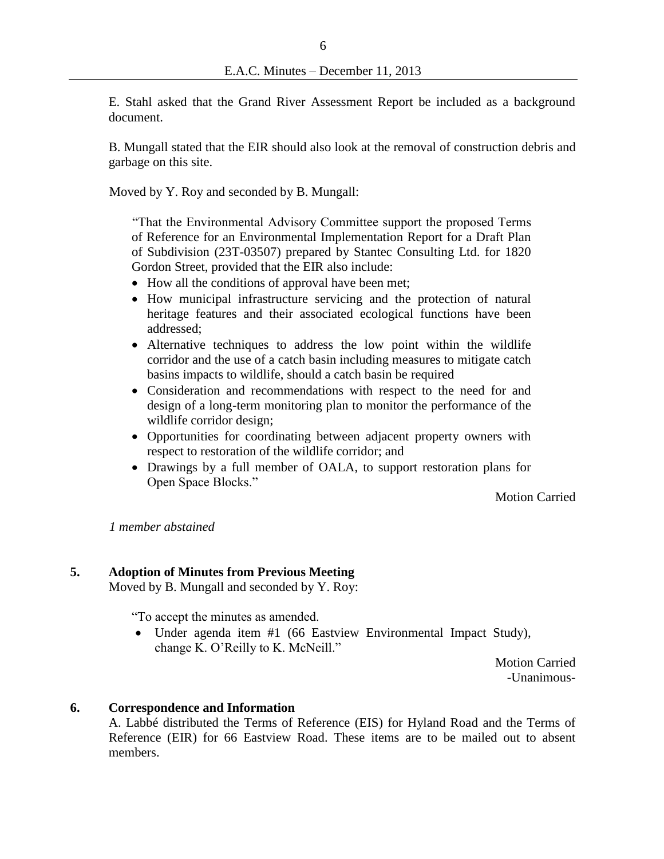E. Stahl asked that the Grand River Assessment Report be included as a background document.

B. Mungall stated that the EIR should also look at the removal of construction debris and garbage on this site.

Moved by Y. Roy and seconded by B. Mungall:

"That the Environmental Advisory Committee support the proposed Terms of Reference for an Environmental Implementation Report for a Draft Plan of Subdivision (23T-03507) prepared by Stantec Consulting Ltd. for 1820 Gordon Street, provided that the EIR also include:

- How all the conditions of approval have been met;
- How municipal infrastructure servicing and the protection of natural heritage features and their associated ecological functions have been addressed;
- Alternative techniques to address the low point within the wildlife corridor and the use of a catch basin including measures to mitigate catch basins impacts to wildlife, should a catch basin be required
- Consideration and recommendations with respect to the need for and design of a long-term monitoring plan to monitor the performance of the wildlife corridor design;
- Opportunities for coordinating between adjacent property owners with respect to restoration of the wildlife corridor; and
- Drawings by a full member of OALA, to support restoration plans for Open Space Blocks."

Motion Carried

*1 member abstained*

# **5. Adoption of Minutes from Previous Meeting**

Moved by B. Mungall and seconded by Y. Roy:

"To accept the minutes as amended.

 Under agenda item #1 (66 Eastview Environmental Impact Study), change K. O'Reilly to K. McNeill."

> Motion Carried -Unanimous-

#### **6. Correspondence and Information**

A. Labbé distributed the Terms of Reference (EIS) for Hyland Road and the Terms of Reference (EIR) for 66 Eastview Road. These items are to be mailed out to absent members.